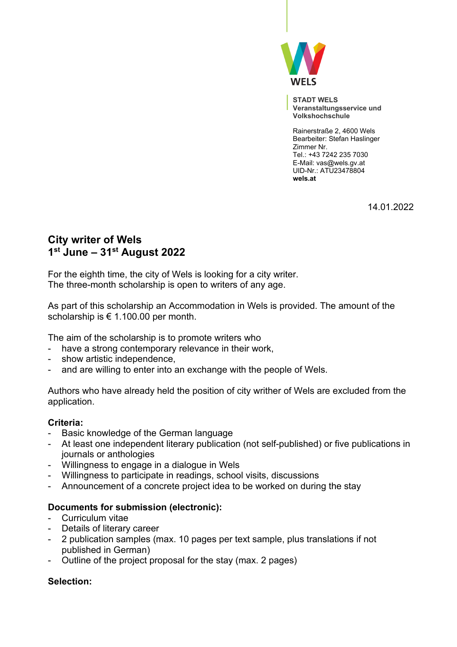

**STADT WELS Veranstaltungsservice und Volkshochschule** 

Rainerstraße 2, 4600 Wels Bearbeiter: Stefan Haslinger Zimmer Nr. Tel.: +43 7242 235 7030 E-Mail: vas@wels.gv.at UID-Nr.: ATU23478804 **wels.at**

14.01.2022

# **City writer of Wels 1 st June – 31st August 2022**

For the eighth time, the city of Wels is looking for a city writer. The three-month scholarship is open to writers of any age.

As part of this scholarship an Accommodation in Wels is provided. The amount of the scholarship is € 1.100.00 per month.

The aim of the scholarship is to promote writers who

- have a strong contemporary relevance in their work,
- show artistic independence,
- and are willing to enter into an exchange with the people of Wels.

Authors who have already held the position of city writher of Wels are excluded from the application.

# **Criteria:**

- Basic knowledge of the German language
- At least one independent literary publication (not self-published) or five publications in journals or anthologies
- Willingness to engage in a dialogue in Wels
- Willingness to participate in readings, school visits, discussions
- Announcement of a concrete project idea to be worked on during the stay

## **Documents for submission (electronic):**

- Curriculum vitae
- Details of literary career
- 2 publication samples (max. 10 pages per text sample, plus translations if not published in German)
- Outline of the project proposal for the stay (max. 2 pages)

## **Selection:**